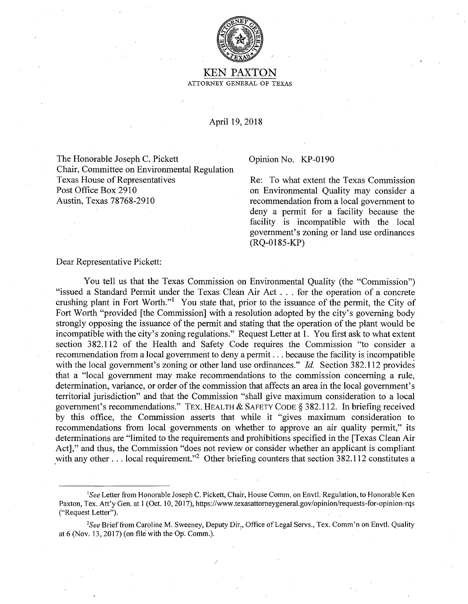

KEN PAXTON ATTORNEY GENERAL OF TEXAS

April 19, 2018

The Honorable Joseph C. Pickett Opinion No. KP-0190 Chair, Committee on Environmental Regulation Texas House of Representatives Re: To what extent the Texas Commission Post Office Box 2910 Austin, Texas 78768-2910

on Environmental Quality may consider a recommendation from a local government to deny a permit for a facility because the facility is incompatible with the local government's zoning or land use ordinances (RQ-0185-KP)

## Dear Representative Pickett:

You tell us that the Texas Commission on Environmental Quality (the "Commission") "issued a Standard Permit under the Texas Clean Air Act ... for the operation of a concrete crushing plant in Fort Worth."<sup>1</sup> You state that, prior to the issuance of the permit, the City of Fort Worth "provided [the Commission] with a resolution adopted by the city's governing body strongly opposing the issuance of the permit and stating that the operation of the plant would be incompatible with the city's zoning regulations." Request Letter at 1. You first ask to what extent section 382.112 of the Health and Safety Code requires the Commission "to consider a recommendation from a local government to deny a permit ... because the facility is incompatible with the local government's zoning or other land use ordinances." *Id.* Section 382.112 provides that a "local government may make recommendations to the commission concerning a rule, determination, variance, or order of the commission that affects an area in the local government's territorial jurisdiction" and that the Commission "shall give maximum consideration to a local government's recommendations." TEX. HEALTH & SAFETY CODE§ 382.112. In briefing received by this office, the Commission asserts that while it "gives maximum consideration to recommendations from local governments on whether to approve an air quality permit," its determinations are "limited to the requirements and prohibitions specified in the [Texas Clean Air Act]," and thus, the Commission "does not review or consider whether an applicant is compliant with any other ... local requirement."<sup>2</sup> Other briefing counters that section  $382.112$  constitutes a

<sup>1</sup> *See* Letter from Honorable Joseph C. Pickett, Chair, House Comm. on Envtl. Regulation, to Honorable Ken Paxton, Tex. Att'y Gen. at 1 (Oct. 10, 2017), https://www.texasattorneygeneral.gov/opinion/requests-for-opinion-rqs ("Request Letter").

*\_ 2See* Brief from Caroline M. Sweeney, Deputy Dir,, Office of Legal Servs., Tex. Comm'n on Envtl. Quality at 6 (Nov. 13, 2017) (on file with the Op. Comm.). .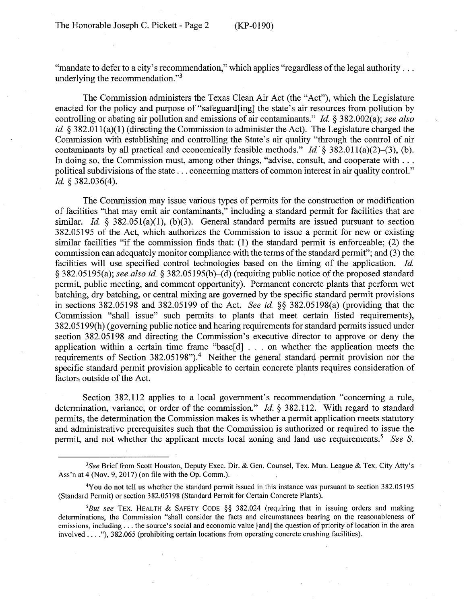"mandate to defer to a city's recommendation," which applies "regardless of the legal authority ... underlying the recommendation."<sup>3</sup>

The Commission administers the Texas Clean Air Act (the "Act"), which the Legislature enacted for the policy and purpose of "safeguard[ing] the state's air resources from pollution by controlling or abating air pollution and emissions of air contaminants." *Id* § 382.002(a); *see also id.* § 382.011(a)(1) (directing the Commission to administer the Act). The Legislature charged the Commission with establishing and controlling the State's air quality "through the control of air contaminants by all practical and economically feasible methods." *Id.* § 382.011(a)(2)–(3), (b). In doing so, the Commission must, among other things, "advise, consult, and cooperate with ... political subdivisions of the state ... concerning matters of common interest in air quality control." *Id* § 382.036(4).

The Commission may issue various types of permits for the construction or modification of facilities "that may emit air contaminants," including a standard permit for facilities that are similar. *Id.* § 382.051(a)(1), (b)(3). General standard permits are issued pursuant to section 382.05195 of the Act, which authorizes the Commission to issue a permit for new or existing similar facilities "if the commission finds that: (1) the standard permit is enforceable; (2) the commission can adequately monitor compliance with the terms of the standard permit"; and (3) the facilities will use specified control technologies based on the timing of the application. *Id*  § 382.05195(a); *see also id* § 382.05195(b)-(d) (requiring public notice of the proposed standard permit, public meeting, and comment opportunity). Permanent concrete plants that perform wet batching, dry batching, or central mixing are governed by the specific standard permit provisions in sections 382.05198 and 382.05199 of the Act. *See id* §§ 382.05198(a) (providing that the Commission "shall issue" such permits to plants that meet certain listed requirements), 382.05199(h) (governing public notice and hearing requirements for standard permits issued under section 382.05198 and directing the Commission's executive director to approve or deny the application within a certain time frame "base[d] . . . on whether the application meets the requirements of Section 382.05198").<sup>4</sup> Neither the general standard permit provision nor the specific standard permit provision applicable to certain concrete plants requires consideration of factors outside of the Act.

Section 382.112 applies to a local government's recommendation "concerning a rule, determination, variance, or order of the commission." *Id.* § 382.112. With regard to standard permits, the determination the Commission makes is whether a permit application meets statutory and administrative prerequisites such that the Commission is authorized or required to issue the permit, and not whether the applicant meets local zoning and land use requirements.<sup>5</sup> *See S.* 

*<sup>3</sup> See* Brief from Scott Houston, Deputy Exec. Dir. & Gen. Counsel, Tex. Mun. League & Tex. City Atty's Ass'n at 4 (Nov. 9, 2017) (on file with the Op. Comm.).

<sup>4</sup>You do not tell us whether the standard permit issued in this instance was pursuant to section 382.05195 (Standard Permit) or section 382.05198 (Standard Permit for Certain Concrete Plants).

*<sup>5</sup>But see* TEX. HEALTH & SAFETY CODE §§ 382.024 (requiring that in issuing orders and making determinations, the Commission "shall consider the facts and circumstances bearing on the reasonableness of emissions, including ... the source's social and economic value [and] the question of priority of location in the area involved .... "), 382.065 (prohibiting certain locations from operating concrete crushing facilities).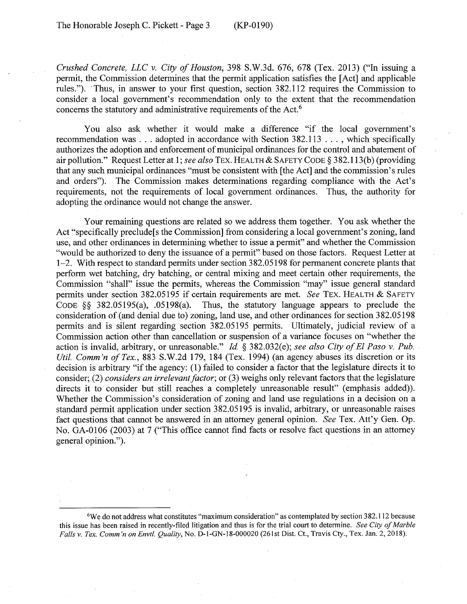*Crushed Concrete, LLC v. City of Houston,* 398 S.W.3d. 676, 678 (Tex. 2013) ("In issuing a permit, the Commission determines that the permit application satisfies the [Act] and applicable rules."). · Thus, in answer to your first question, section 3 82.112 requires the Commission to consider a local government's recommendation only to the extent that the recommendation concerns the statutory and administrative requirements of the Act.<sup>6</sup>

You also ask whether it would make a difference "if the local government's recommendation was .... adopted in accordance with Section 382.113 ... , which specifically authorizes the adoption and enforcement of municipal ordinances for the control and abatement of air pollution." Request Letter at 1; *see also* TEX. HEALTH & SAFETY CODE§ 382.113(b) (providing that any such municipal ordinances "must be consistent with [the Act] and the commission's rules and orders"). The Commission makes determinations regarding compliance with the Act's requirements, not the requirements of local government ordinances. Thus, the authority for adopting the ordinance would not change the answer.

Your remaining questions are related so we address them together. You ask whether the Act "specifically preclude<sup>[sthe Commission]</sup> from considering a local government's zoning, land use, and other ordinances in determining whether to issue a permit" and whether the Commission "would be authorized to deny the issuance of a permit" based on those factors. Request Letter at 1-2. With respect to standard permits under section 382.05198 for permanent concrete plants that perform wet batching, dry batching, or central mixing and meet certain other requirements, the Commission "shall" issue the permits, whereas the Commission "may" issue general standard permits under section 382.05195 if certain requirements are met. *See* TEX. HEALTH & SAFETY CODE §§ 382.05195(a), .05198(a). Thus, the statutory language appears to preclude the consideration of (and denial due to) zoning, land use, and other ordinances for section 382.05198 permits and is silent regarding section 382.05195 permits. Ultimately, judicial review of a Commission action other than cancellation or suspension of a variance focuses on "whether the action is invalid, arbitrary, or unreasonable." *Id.* § 382.032(e); *see also City of El Paso v. Pub. Util. Comm'n of Tex.,* 883 S.W.2d 179, 184 (Tex. 1994) (an agency abuses its discretion or its decision is arbitrary "if the agency: (1) failed to consider a factor that the legislature directs it to consider; (2) *considers an irrelevant factor;* or (3) weighs only relevant factors that the legislature directs it to consider but still reaches a completely unreasonable result" (emphasis added)). Whether the Commission's consideration of zoning and land use regulations in a decision on a standard permit application under section 382.05195 is invalid, arbitrary, or unreasonable raises fact questions that cannot be answered in an attorney general opinion. *See* Tex. Att'y Gen. Op. No. GA-0106 (2003) at 7 ("This office cannot find facts or resolve fact questions in an attorney general opinion.").

<sup>6</sup>We do not address what constitutes "maximum consideration" as contemplated by section 382.112 because this issue has been raised in recently-filed litigation and thus is for the trial court to determine. *See City of Marble Falls v. Tex. Comm 'non Envtl. Quality,* No. D-l-GN-18-000020 (261 st Dist. Ct., Travis Cty., Tex. Jan. 2, 2018).